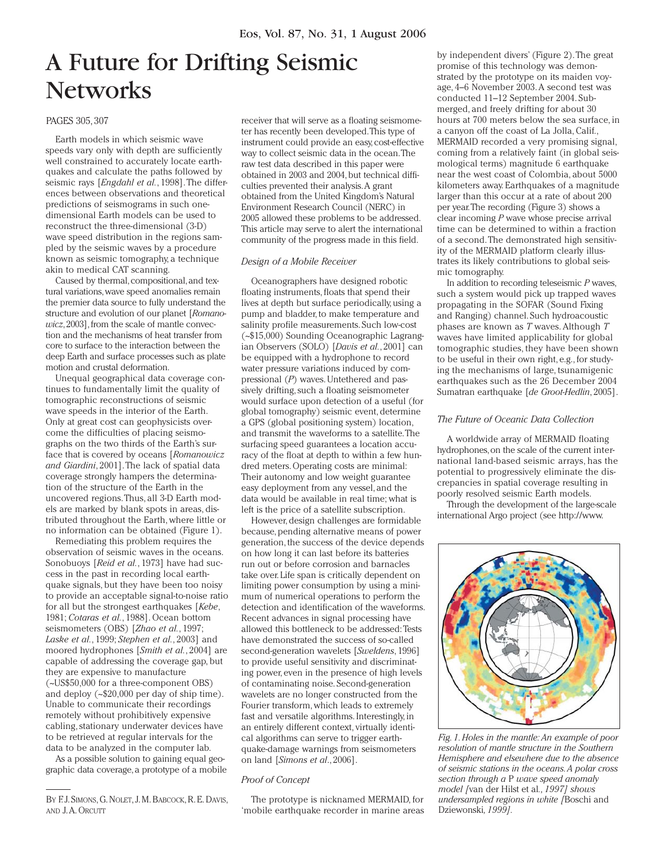# A Future for Drifting Seismic **Networks**

# PAGES 305, 307

Earth models in which seismic wave speeds vary only with depth are sufficiently well constrained to accurately locate earthquakes and calculate the paths followed by seismic rays [*Engdahl et al.*, 1998]. The differences between observations and theoretical predictions of seismograms in such onedimensional Earth models can be used to reconstruct the three-dimensional (3-D) wave speed distribution in the regions sampled by the seismic waves by a procedure known as seismic tomography, a technique akin to medical CAT scanning.

Caused by thermal, compositional, and textural variations, wave speed anomalies remain the premier data source to fully understand the structure and evolution of our planet [*Romanowicz*, 2003], from the scale of mantle convection and the mechanisms of heat transfer from core to surface to the interaction between the deep Earth and surface processes such as plate motion and crustal deformation.

Unequal geographical data coverage continues to fundamentally limit the quality of tomographic reconstructions of seismic wave speeds in the interior of the Earth. Only at great cost can geophysicists overcome the difficulties of placing seismographs on the two thirds of the Earth's surface that is covered by oceans [*Romanowicz and Giardini*, 2001]. The lack of spatial data coverage strongly hampers the determination of the structure of the Earth in the uncovered regions. Thus, all 3-D Earth models are marked by blank spots in areas, distributed throughout the Earth, where little or no information can be obtained (Figure 1).

Remediating this problem requires the observation of seismic waves in the oceans. Sonobuoys [*Reid et al.*, 1973] have had success in the past in recording local earthquake signals, but they have been too noisy to provide an acceptable signal-to-noise ratio for all but the strongest earthquakes [*Kebe*, 1981; *Cotaras et al.*, 1988]. Ocean bottom seismometers (OBS) [*Zhao et al.*, 1997; *Laske et al.*, 1999; *Stephen et al.*, 2003] and moored hydrophones [*Smith et al.*, 2004] are capable of addressing the coverage gap, but they are expensive to manufacture (~US\$50,000 for a three-component OBS) and deploy (~\$20,000 per day of ship time). Unable to communicate their recordings remotely without prohibitively expensive cabling, stationary underwater devices have to be retrieved at regular intervals for the data to be analyzed in the computer lab.

As a possible solution to gaining equal geographic data coverage, a prototype of a mobile

receiver that will serve as a floating seismometer has recently been developed. This type of instrument could provide an easy, cost-effective way to collect seismic data in the ocean. The raw test data described in this paper were obtained in 2003 and 2004, but technical difficulties prevented their analysis. A grant obtained from the United Kingdom's Natural Environment Research Council (NERC) in 2005 allowed these problems to be addressed. This article may serve to alert the international community of the progress made in this field.

## *Design of a Mobile Receiver*

Oceanographers have designed robotic floating instruments, floats that spend their lives at depth but surface periodically, using a pump and bladder, to make temperature and salinity profile measurements. Such low-cost (~\$15,000) Sounding Oceanographic Lagrangian Observers (SOLO) [*Davis et al.*, 2001] can be equipped with a hydrophone to record water pressure variations induced by compressional (*P*) waves. Untethered and passively drifting, such a floating seismometer would surface upon detection of a useful (for global tomography) seismic event, determine a GPS (global positioning system) location, and transmit the waveforms to a satellite. The surfacing speed guarantees a location accuracy of the float at depth to within a few hundred meters. Operating costs are minimal: Their autonomy and low weight guarantee easy deployment from any vessel, and the data would be available in real time; what is left is the price of a satellite subscription.

However, design challenges are formidable because, pending alternative means of power generation, the success of the device depends on how long it can last before its batteries run out or before corrosion and barnacles take over. Life span is critically dependent on limiting power consumption by using a minimum of numerical operations to perform the detection and identification of the waveforms. Recent advances in signal processing have allowed this bottleneck to be addressed: Tests have demonstrated the success of so-called second-generation wavelets [*Sweldens*, 1996] to provide useful sensitivity and discriminating power, even in the presence of high levels of contaminating noise. Second-generation wavelets are no longer constructed from the Fourier transform, which leads to extremely fast and versatile algorithms. Interestingly, in an entirely different context, virtually identical algorithms can serve to trigger earthquake-damage warnings from seismometers on land [*Simons et al*., 2006].

#### *Proof of Concept*

The prototype is nicknamed MERMAID, for 'mobile earthquake recorder in marine areas

by independent divers' (Figure 2). The great promise of this technology was demonstrated by the prototype on its maiden voyage, 4–6 November 2003. A second test was conducted 11–12 September 2004. Submerged, and freely drifting for about 30 hours at 700 meters below the sea surface, in a canyon off the coast of La Jolla, Calif., MERMAID recorded a very promising signal, coming from a relatively faint (in global seismological terms) magnitude 6 earthquake near the west coast of Colombia, about 5000 kilometers away. Earthquakes of a magnitude larger than this occur at a rate of about 200 per year. The recording (Figure 3) shows a clear incoming *P* wave whose precise arrival time can be determined to within a fraction of a second. The demonstrated high sensitivity of the MERMAID platform clearly illustrates its likely contributions to global seismic tomography.

In addition to recording teleseismic *P* waves, such a system would pick up trapped waves propagating in the SOFAR (Sound Fixing and Ranging) channel. Such hydroacoustic phases are known as *T* waves. Although *T* waves have limited applicability for global tomographic studies, they have been shown to be useful in their own right, e.g., for studying the mechanisms of large, tsunamigenic earthquakes such as the 26 December 2004 Sumatran earthquake [*de Groot-Hedlin*, 2005].

## *The Future of Oceanic Data Collection*

A worldwide array of MERMAID floating hydrophones, on the scale of the current international land-based seismic arrays, has the potential to progressively eliminate the discrepancies in spatial coverage resulting in poorly resolved seismic Earth models.

Through the development of the large-scale international Argo project (see http://www.



*Fig. 1. Holes in the mantle: An example of poor resolution of mantle structure in the Southern Hemisphere and elsewhere due to the absence of seismic stations in the oceans. A polar cross section through a* P *wave speed anomaly model [*van der Hilst et al*., 1997] shows undersampled regions in white [*Boschi and Dziewonski*, 1999].*

BY F.J. SIMONS, G. NOLET, J. M. BABCOCK, R. E. DAVIS, AND J. A. ORCUTT